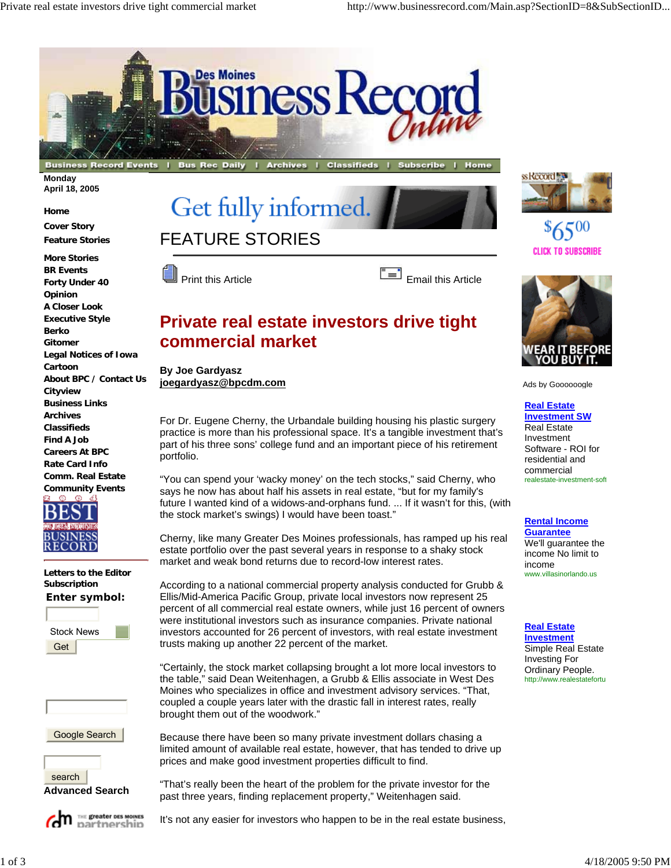

**Monday April 18, 2005**

**Home Cover Story Feature Stories**

**More Stories BR Events Forty Under 40 Opinion A Closer Look Executive Style Berko Gitomer Legal Notices of Iowa Cartoon About BPC / Contact Us Cityview Business Links Archives Classifieds Find A Job Careers At BPC Rate Card Info Comm. Real Estate Community Events**



**Letters to the Editor Subscription Enter symbol:**









Get fully informed





## **Private real estate investors drive tight commercial market**

**By Joe Gardyasz joegardyasz@bpcdm.com**

For Dr. Eugene Cherny, the Urbandale building housing his plastic surgery practice is more than his professional space. It's a tangible investment that's part of his three sons' college fund and an important piece of his retirement portfolio.

"You can spend your 'wacky money' on the tech stocks," said Cherny, who says he now has about half his assets in real estate, "but for my family's future I wanted kind of a widows-and-orphans fund. ... If it wasn't for this, (with the stock market's swings) I would have been toast."

Cherny, like many Greater Des Moines professionals, has ramped up his real estate portfolio over the past several years in response to a shaky stock market and weak bond returns due to record-low interest rates.

According to a national commercial property analysis conducted for Grubb & Ellis/Mid-America Pacific Group, private local investors now represent 25 percent of all commercial real estate owners, while just 16 percent of owners were institutional investors such as insurance companies. Private national investors accounted for 26 percent of investors, with real estate investment trusts making up another 22 percent of the market.

"Certainly, the stock market collapsing brought a lot more local investors to the table," said Dean Weitenhagen, a Grubb & Ellis associate in West Des Moines who specializes in office and investment advisory services. "That, coupled a couple years later with the drastic fall in interest rates, really brought them out of the woodwork."

Because there have been so many private investment dollars chasing a limited amount of available real estate, however, that has tended to drive up prices and make good investment properties difficult to find.

"That's really been the heart of the problem for the private investor for the past three years, finding replacement property," Weitenhagen said.

It's not any easier for investors who happen to be in the real estate business,



**CLICK TO SUBSCRIBE** 



Ads by Goooooogle

**Real Estate** 

**Investment SW** Real Estate Investment Software - ROI for residential and commercial realestate-investment-soft

## **Rental Income**

**Guarantee** We'll guarantee the income No limit to income www.villasinorlando.us

## **Real Estate**

**Investment** Simple Real Estate Investing For Ordinary People. http://www.realestatefortu